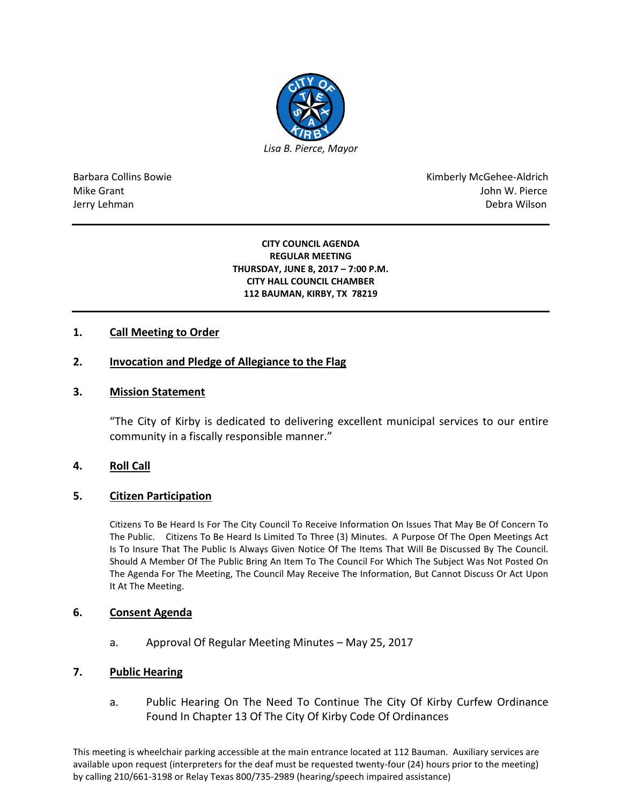

Barbara Collins Bowie **Kimberly McGehee-Aldrich** Mike Grant John W. Pierce Jerry Lehman Debra Wilson (2008) and the state of the state of the state of the state of the state of the state of the state of the state of the state of the state of the state of the state of the state of the state of the

#### **CITY COUNCIL AGENDA REGULAR MEETING THURSDAY, JUNE 8, 2017 – 7:00 P.M. CITY HALL COUNCIL CHAMBER 112 BAUMAN, KIRBY, TX 78219**

# **1. Call Meeting to Order**

## **2. Invocation and Pledge of Allegiance to the Flag**

### **3. Mission Statement**

"The City of Kirby is dedicated to delivering excellent municipal services to our entire community in a fiscally responsible manner."

## **4. Roll Call**

#### **5. Citizen Participation**

Citizens To Be Heard Is For The City Council To Receive Information On Issues That May Be Of Concern To The Public. Citizens To Be Heard Is Limited To Three (3) Minutes. A Purpose Of The Open Meetings Act Is To Insure That The Public Is Always Given Notice Of The Items That Will Be Discussed By The Council. Should A Member Of The Public Bring An Item To The Council For Which The Subject Was Not Posted On The Agenda For The Meeting, The Council May Receive The Information, But Cannot Discuss Or Act Upon It At The Meeting.

#### **6. Consent Agenda**

a. Approval Of Regular Meeting Minutes – May 25, 2017

#### **7. Public Hearing**

a. Public Hearing On The Need To Continue The City Of Kirby Curfew Ordinance Found In Chapter 13 Of The City Of Kirby Code Of Ordinances

This meeting is wheelchair parking accessible at the main entrance located at 112 Bauman. Auxiliary services are available upon request (interpreters for the deaf must be requested twenty-four (24) hours prior to the meeting) by calling 210/661-3198 or Relay Texas 800/735-2989 (hearing/speech impaired assistance)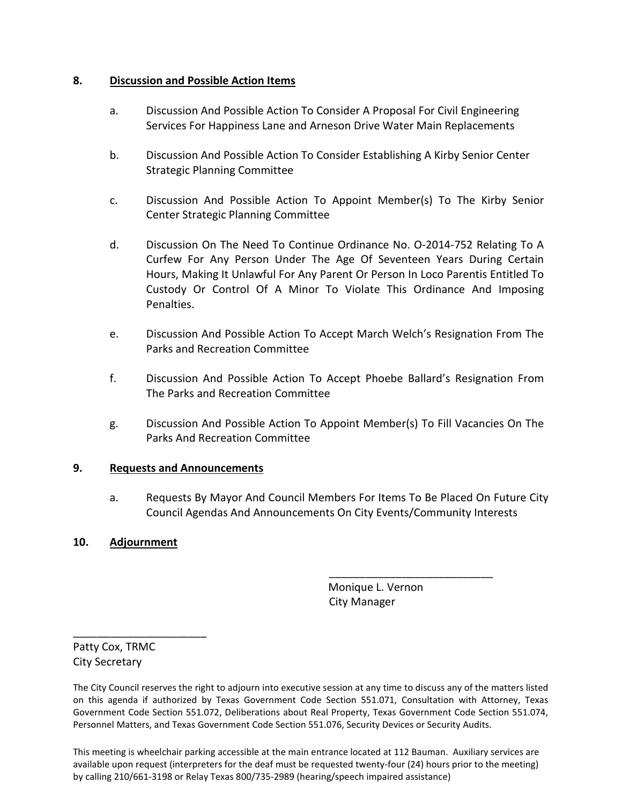# **8. Discussion and Possible Action Items**

- a. Discussion And Possible Action To Consider A Proposal For Civil Engineering Services For Happiness Lane and Arneson Drive Water Main Replacements
- b. Discussion And Possible Action To Consider Establishing A Kirby Senior Center Strategic Planning Committee
- c. Discussion And Possible Action To Appoint Member(s) To The Kirby Senior Center Strategic Planning Committee
- d. Discussion On The Need To Continue Ordinance No. O-2014-752 Relating To A Curfew For Any Person Under The Age Of Seventeen Years During Certain Hours, Making It Unlawful For Any Parent Or Person In Loco Parentis Entitled To Custody Or Control Of A Minor To Violate This Ordinance And Imposing Penalties.
- e. Discussion And Possible Action To Accept March Welch's Resignation From The Parks and Recreation Committee
- f. Discussion And Possible Action To Accept Phoebe Ballard's Resignation From The Parks and Recreation Committee
- g. Discussion And Possible Action To Appoint Member(s) To Fill Vacancies On The Parks And Recreation Committee

# **9. Requests and Announcements**

a. Requests By Mayor And Council Members For Items To Be Placed On Future City Council Agendas And Announcements On City Events/Community Interests

# **10. Adjournment**

 Monique L. Vernon City Manager

\_\_\_\_\_\_\_\_\_\_\_\_\_\_\_\_\_\_\_\_\_\_\_\_\_\_\_

Patty Cox, TRMC City Secretary

\_\_\_\_\_\_\_\_\_\_\_\_\_\_\_\_\_\_\_\_\_\_

This meeting is wheelchair parking accessible at the main entrance located at 112 Bauman. Auxiliary services are available upon request (interpreters for the deaf must be requested twenty-four (24) hours prior to the meeting) by calling 210/661-3198 or Relay Texas 800/735-2989 (hearing/speech impaired assistance)

The City Council reserves the right to adjourn into executive session at any time to discuss any of the matters listed on this agenda if authorized by Texas Government Code Section 551.071, Consultation with Attorney, Texas Government Code Section 551.072, Deliberations about Real Property, Texas Government Code Section 551.074, Personnel Matters, and Texas Government Code Section 551.076, Security Devices or Security Audits.